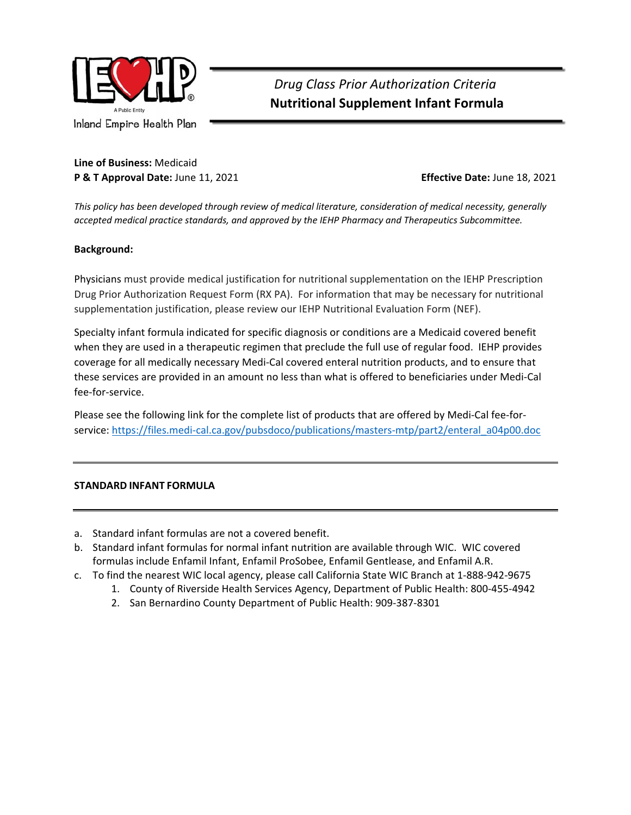

### **Line of Business:** Medicaid **P & T Approval Date:** June 11, 2021 **Effective Date:** June 18, 2021

*This policy has been developed through review of medical literature, consideration of medical necessity, generally accepted medical practice standards, and approved by the IEHP Pharmacy and Therapeutics Subcommittee.* 

### **Background:**

Physicians must provide medical justification for nutritional supplementation on the IEHP Prescription Drug Prior Authorization Request Form (RX PA). For information that may be necessary for nutritional supplementation justification, please review our IEHP Nutritional Evaluation Form (NEF).

Specialty infant formula indicated for specific diagnosis or conditions are a Medicaid covered benefit when they are used in a therapeutic regimen that preclude the full use of regular food. IEHP provides coverage for all medically necessary Medi‐Cal covered enteral nutrition products, and to ensure that these services are provided in an amount no less than what is offered to beneficiaries under Medi‐Cal fee-for-service.

Please see the following link for the complete list of products that are offered by Medi‐Cal fee‐for‐ service: https://files.medi-cal.ca.gov/pubsdoco/publications/masters-mtp/part2/enteral\_a04p00.doc

### **STANDARD INFANT FORMULA**

- a. Standard infant formulas are not a covered benefit.
- b. Standard infant formulas for normal infant nutrition are available through WIC. WIC covered formulas include Enfamil Infant, Enfamil ProSobee, Enfamil Gentlease, and Enfamil A.R.
- c. To find the nearest WIC local agency, please call California State WIC Branch at 1‐888‐942‐9675
	- 1. County of Riverside Health Services Agency, Department of Public Health: 800‐455‐4942
	- 2. San Bernardino County Department of Public Health: 909‐387‐8301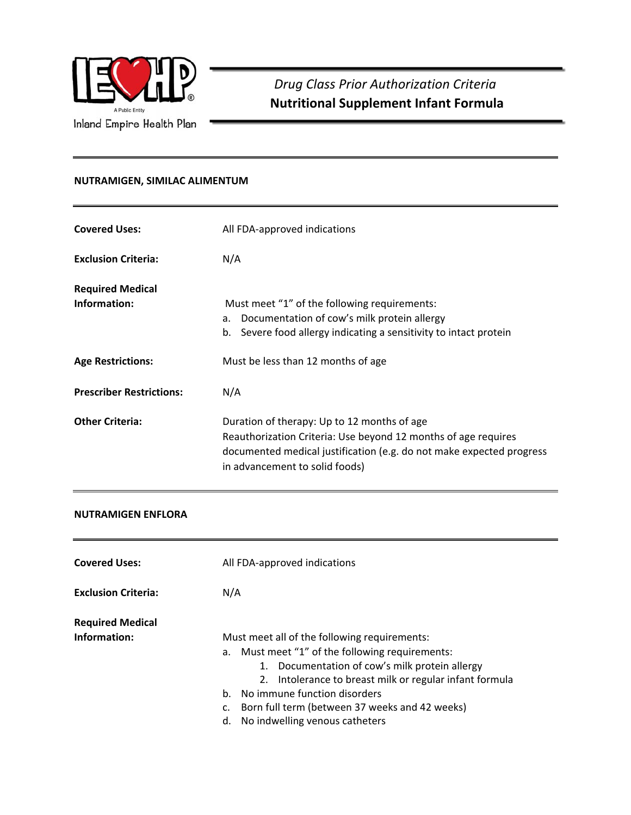

## **NUTRAMIGEN, SIMILAC ALIMENTUM**

| <b>Covered Uses:</b>                    | All FDA-approved indications                                                                                                                                                                                            |  |
|-----------------------------------------|-------------------------------------------------------------------------------------------------------------------------------------------------------------------------------------------------------------------------|--|
| <b>Exclusion Criteria:</b>              | N/A                                                                                                                                                                                                                     |  |
| <b>Required Medical</b><br>Information: | Must meet "1" of the following requirements:<br>Documentation of cow's milk protein allergy<br>а.<br>Severe food allergy indicating a sensitivity to intact protein<br>b.                                               |  |
| <b>Age Restrictions:</b>                | Must be less than 12 months of age                                                                                                                                                                                      |  |
| <b>Prescriber Restrictions:</b>         | N/A                                                                                                                                                                                                                     |  |
| <b>Other Criteria:</b>                  | Duration of therapy: Up to 12 months of age<br>Reauthorization Criteria: Use beyond 12 months of age requires<br>documented medical justification (e.g. do not make expected progress<br>in advancement to solid foods) |  |

### **NUTRAMIGEN ENFLORA**

| <b>Covered Uses:</b>       |                                                         |
|----------------------------|---------------------------------------------------------|
|                            | All FDA-approved indications                            |
| <b>Exclusion Criteria:</b> | N/A                                                     |
| <b>Required Medical</b>    |                                                         |
| Information:               | Must meet all of the following requirements:            |
|                            | Must meet "1" of the following requirements:<br>a.      |
|                            | 1. Documentation of cow's milk protein allergy          |
|                            | 2. Intolerance to breast milk or regular infant formula |
|                            | No immune function disorders<br>$h_{-}$                 |
|                            | Born full term (between 37 weeks and 42 weeks)<br>c.    |
|                            | No indwelling venous catheters<br>d.                    |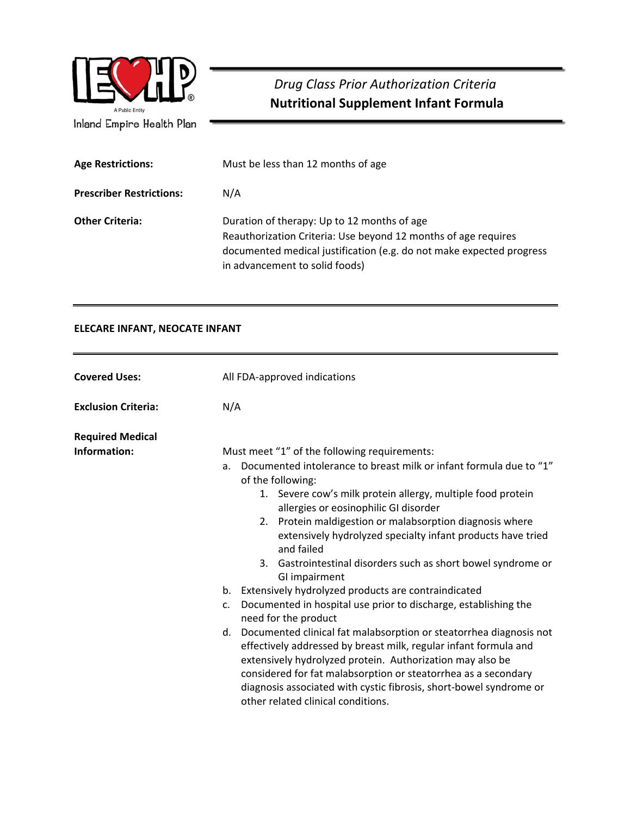| A Public Entity<br>Inland Empire Health Plan | Drug Class Prior Authorization Criteria<br><b>Nutritional Supplement Infant Formula</b>                                                                                                                                 |
|----------------------------------------------|-------------------------------------------------------------------------------------------------------------------------------------------------------------------------------------------------------------------------|
| <b>Age Restrictions:</b>                     | Must be less than 12 months of age                                                                                                                                                                                      |
| <b>Prescriber Restrictions:</b>              | N/A                                                                                                                                                                                                                     |
| <b>Other Criteria:</b>                       | Duration of therapy: Up to 12 months of age<br>Reauthorization Criteria: Use beyond 12 months of age requires<br>documented medical justification (e.g. do not make expected progress<br>in advancement to solid foods) |

## **ELECARE INFANT, NEOCATE INFANT**

| <b>Covered Uses:</b>       | All FDA-approved indications                                                                                                                                                                                                                                                                                                                                                         |  |
|----------------------------|--------------------------------------------------------------------------------------------------------------------------------------------------------------------------------------------------------------------------------------------------------------------------------------------------------------------------------------------------------------------------------------|--|
| <b>Exclusion Criteria:</b> | N/A                                                                                                                                                                                                                                                                                                                                                                                  |  |
| <b>Required Medical</b>    |                                                                                                                                                                                                                                                                                                                                                                                      |  |
| Information:               | Must meet "1" of the following requirements:                                                                                                                                                                                                                                                                                                                                         |  |
|                            | Documented intolerance to breast milk or infant formula due to "1"<br>a.<br>of the following:                                                                                                                                                                                                                                                                                        |  |
|                            | 1. Severe cow's milk protein allergy, multiple food protein<br>allergies or eosinophilic GI disorder                                                                                                                                                                                                                                                                                 |  |
|                            | 2. Protein maldigestion or malabsorption diagnosis where<br>extensively hydrolyzed specialty infant products have tried<br>and failed                                                                                                                                                                                                                                                |  |
|                            | 3. Gastrointestinal disorders such as short bowel syndrome or<br>GI impairment                                                                                                                                                                                                                                                                                                       |  |
|                            | b. Extensively hydrolyzed products are contraindicated                                                                                                                                                                                                                                                                                                                               |  |
|                            | Documented in hospital use prior to discharge, establishing the<br>c.<br>need for the product                                                                                                                                                                                                                                                                                        |  |
|                            | d. Documented clinical fat malabsorption or steatorrhea diagnosis not<br>effectively addressed by breast milk, regular infant formula and<br>extensively hydrolyzed protein. Authorization may also be<br>considered for fat malabsorption or steatorrhea as a secondary<br>diagnosis associated with cystic fibrosis, short-bowel syndrome or<br>other related clinical conditions. |  |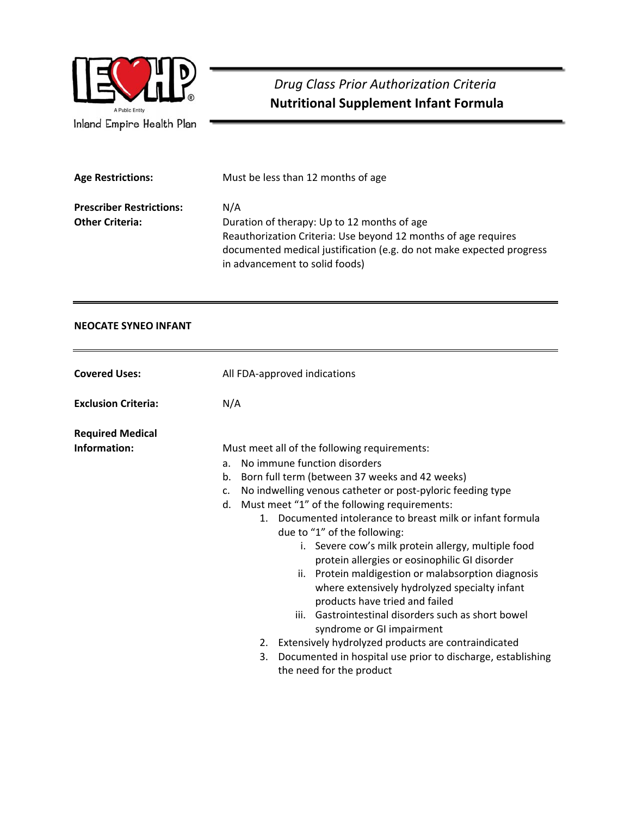

| <b>Age Restrictions:</b>        | Must be less than 12 months of age                                                                                                                                                                                      |
|---------------------------------|-------------------------------------------------------------------------------------------------------------------------------------------------------------------------------------------------------------------------|
| <b>Prescriber Restrictions:</b> | N/A                                                                                                                                                                                                                     |
| <b>Other Criteria:</b>          | Duration of therapy: Up to 12 months of age<br>Reauthorization Criteria: Use beyond 12 months of age requires<br>documented medical justification (e.g. do not make expected progress<br>in advancement to solid foods) |

## **NEOCATE SYNEO INFANT**

| <b>Covered Uses:</b>                    | All FDA-approved indications                                                                                                                                                                                                                                                                                                                                                                                                                                                                                                                                                                                                                                                                                                                                                                                                                                       |
|-----------------------------------------|--------------------------------------------------------------------------------------------------------------------------------------------------------------------------------------------------------------------------------------------------------------------------------------------------------------------------------------------------------------------------------------------------------------------------------------------------------------------------------------------------------------------------------------------------------------------------------------------------------------------------------------------------------------------------------------------------------------------------------------------------------------------------------------------------------------------------------------------------------------------|
| <b>Exclusion Criteria:</b>              | N/A                                                                                                                                                                                                                                                                                                                                                                                                                                                                                                                                                                                                                                                                                                                                                                                                                                                                |
| <b>Required Medical</b><br>Information: | Must meet all of the following requirements:<br>No immune function disorders<br>a <sub>z</sub><br>Born full term (between 37 weeks and 42 weeks)<br>b.<br>No indwelling venous catheter or post-pyloric feeding type<br>$\mathsf{C}$ .<br>Must meet "1" of the following requirements:<br>d.<br>1. Documented intolerance to breast milk or infant formula<br>due to "1" of the following:<br>i. Severe cow's milk protein allergy, multiple food<br>protein allergies or eosinophilic GI disorder<br>ii. Protein maldigestion or malabsorption diagnosis<br>where extensively hydrolyzed specialty infant<br>products have tried and failed<br>Gastrointestinal disorders such as short bowel<br>iii.<br>syndrome or GI impairment<br>2. Extensively hydrolyzed products are contraindicated<br>Documented in hospital use prior to discharge, establishing<br>3. |
|                                         | the need for the product                                                                                                                                                                                                                                                                                                                                                                                                                                                                                                                                                                                                                                                                                                                                                                                                                                           |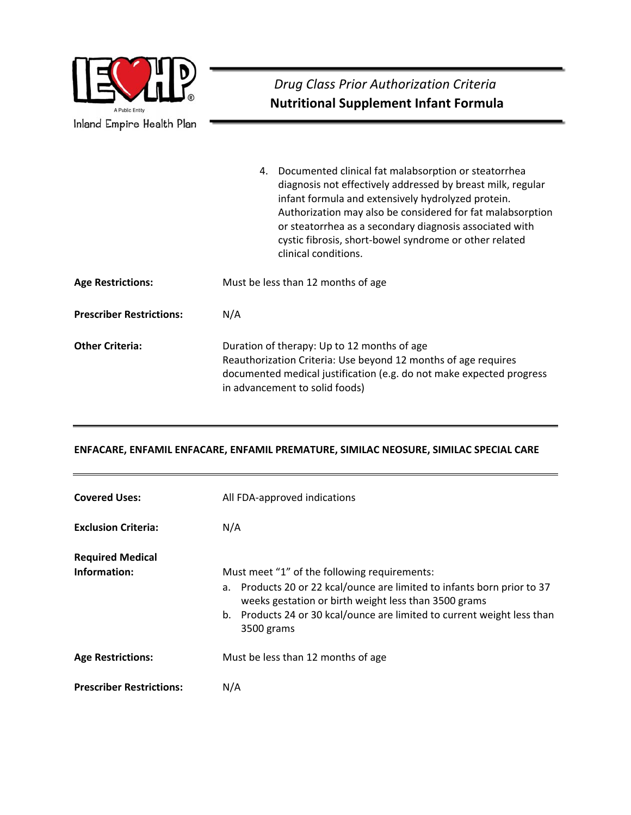| A Public Entity<br>Inland Empire Health Plan | Drug Class Prior Authorization Criteria<br><b>Nutritional Supplement Infant Formula</b>                                                                                                                                                                                                                                                                                                 |
|----------------------------------------------|-----------------------------------------------------------------------------------------------------------------------------------------------------------------------------------------------------------------------------------------------------------------------------------------------------------------------------------------------------------------------------------------|
|                                              | 4. Documented clinical fat malabsorption or steatorrhea<br>diagnosis not effectively addressed by breast milk, regular<br>infant formula and extensively hydrolyzed protein.<br>Authorization may also be considered for fat malabsorption<br>or steatorrhea as a secondary diagnosis associated with<br>cystic fibrosis, short-bowel syndrome or other related<br>clinical conditions. |
| <b>Age Restrictions:</b>                     | Must be less than 12 months of age                                                                                                                                                                                                                                                                                                                                                      |
| <b>Prescriber Restrictions:</b>              | N/A                                                                                                                                                                                                                                                                                                                                                                                     |
| <b>Other Criteria:</b>                       | Duration of therapy: Up to 12 months of age<br>Reauthorization Criteria: Use beyond 12 months of age requires<br>documented medical justification (e.g. do not make expected progress<br>in advancement to solid foods)                                                                                                                                                                 |

## **ENFACARE, ENFAMIL ENFACARE, ENFAMIL PREMATURE, SIMILAC NEOSURE, SIMILAC SPECIAL CARE**

| <b>Covered Uses:</b>            | All FDA-approved indications                                                                                                                                                                                                                                             |
|---------------------------------|--------------------------------------------------------------------------------------------------------------------------------------------------------------------------------------------------------------------------------------------------------------------------|
| <b>Exclusion Criteria:</b>      | N/A                                                                                                                                                                                                                                                                      |
| <b>Required Medical</b>         |                                                                                                                                                                                                                                                                          |
| Information:                    | Must meet "1" of the following requirements:<br>a. Products 20 or 22 kcal/ounce are limited to infants born prior to 37<br>weeks gestation or birth weight less than 3500 grams<br>b. Products 24 or 30 kcal/ounce are limited to current weight less than<br>3500 grams |
| <b>Age Restrictions:</b>        | Must be less than 12 months of age                                                                                                                                                                                                                                       |
| <b>Prescriber Restrictions:</b> | N/A                                                                                                                                                                                                                                                                      |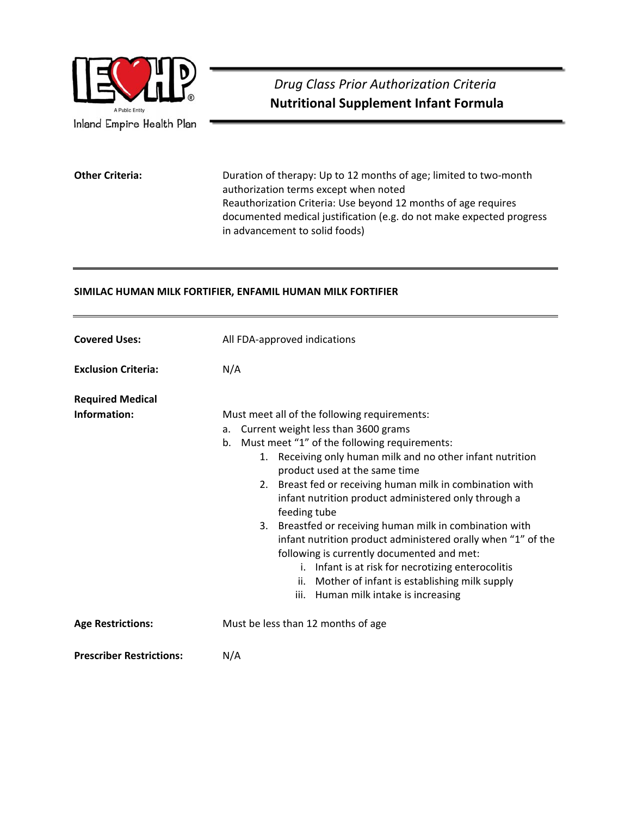

**Other Criteria:** Duration of therapy: Up to 12 months of age; limited to two-month authorization terms except when noted Reauthorization Criteria: Use beyond 12 months of age requires documented medical justification (e.g. do not make expected progress in advancement to solid foods)

### **SIMILAC HUMAN MILK FORTIFIER, ENFAMIL HUMAN MILK FORTIFIER**

| <b>Covered Uses:</b>                    | All FDA-approved indications                                                                                                                                                                                                                                                                                                                                                                                                                                                                                                                                                                                                                                                                                          |
|-----------------------------------------|-----------------------------------------------------------------------------------------------------------------------------------------------------------------------------------------------------------------------------------------------------------------------------------------------------------------------------------------------------------------------------------------------------------------------------------------------------------------------------------------------------------------------------------------------------------------------------------------------------------------------------------------------------------------------------------------------------------------------|
| <b>Exclusion Criteria:</b>              | N/A                                                                                                                                                                                                                                                                                                                                                                                                                                                                                                                                                                                                                                                                                                                   |
| <b>Required Medical</b><br>Information: | Must meet all of the following requirements:<br>Current weight less than 3600 grams<br>a.<br>b. Must meet "1" of the following requirements:<br>Receiving only human milk and no other infant nutrition<br>1.<br>product used at the same time<br>Breast fed or receiving human milk in combination with<br>2.<br>infant nutrition product administered only through a<br>feeding tube<br>3. Breastfed or receiving human milk in combination with<br>infant nutrition product administered orally when "1" of the<br>following is currently documented and met:<br>i. Infant is at risk for necrotizing enterocolitis<br>ii. Mother of infant is establishing milk supply<br>Human milk intake is increasing<br>iii. |
| <b>Age Restrictions:</b>                | Must be less than 12 months of age                                                                                                                                                                                                                                                                                                                                                                                                                                                                                                                                                                                                                                                                                    |
| <b>Prescriber Restrictions:</b>         | N/A                                                                                                                                                                                                                                                                                                                                                                                                                                                                                                                                                                                                                                                                                                                   |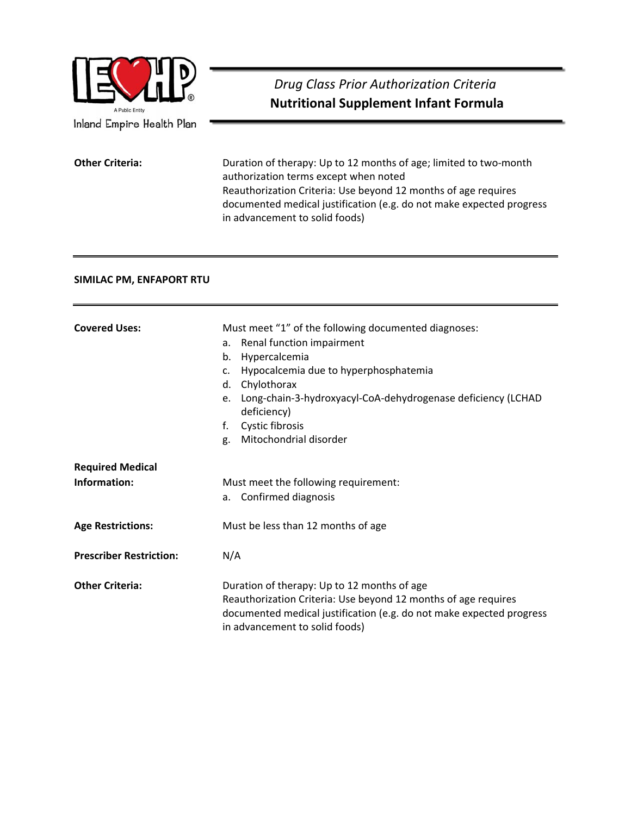

#### **SIMILAC PM, ENFAPORT RTU**

| <b>Covered Uses:</b>           | Must meet "1" of the following documented diagnoses:                                                   |  |
|--------------------------------|--------------------------------------------------------------------------------------------------------|--|
|                                | Renal function impairment<br>a.                                                                        |  |
|                                | Hypercalcemia<br>b.                                                                                    |  |
|                                | Hypocalcemia due to hyperphosphatemia<br>$\mathsf{C}$ .                                                |  |
|                                | Chylothorax<br>d.                                                                                      |  |
|                                | Long-chain-3-hydroxyacyl-CoA-dehydrogenase deficiency (LCHAD<br>e.<br>deficiency)                      |  |
|                                | Cystic fibrosis<br>f.                                                                                  |  |
|                                | Mitochondrial disorder<br>g.                                                                           |  |
| <b>Required Medical</b>        |                                                                                                        |  |
| Information:                   | Must meet the following requirement:                                                                   |  |
|                                | a. Confirmed diagnosis                                                                                 |  |
| <b>Age Restrictions:</b>       | Must be less than 12 months of age                                                                     |  |
| <b>Prescriber Restriction:</b> | N/A                                                                                                    |  |
| <b>Other Criteria:</b>         | Duration of therapy: Up to 12 months of age                                                            |  |
|                                | Reauthorization Criteria: Use beyond 12 months of age requires                                         |  |
|                                | documented medical justification (e.g. do not make expected progress<br>in advancement to solid foods) |  |